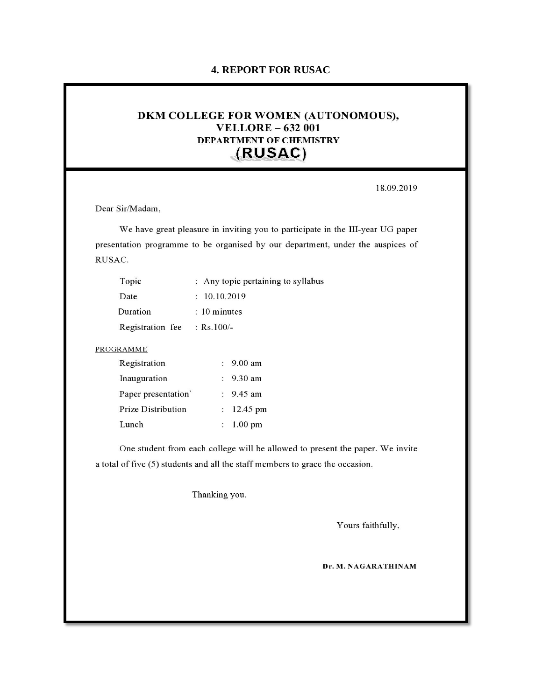## **4. REPORT FOR RUSAC**

## DKM COLLEGE FOR WOMEN (AUTONOMOUS), **VELLORE - 632 001 DEPARTMENT OF CHEMISTRY** (RUSAC)

18.09.2019

Dear Sir/Madam,

We have great pleasure in inviting you to participate in the III-year UG paper presentation programme to be organised by our department, under the auspices of RUSAC.

| : Any topic pertaining to syllabus |
|------------------------------------|
| : 10.10.2019                       |
| $: 10$ minutes                     |
| : $Rs.100/-$                       |
|                                    |

## PROGRAMME

| Registration        | $: 9.00$ am          |
|---------------------|----------------------|
| Inauguration        | $: 9.30$ am          |
| Paper presentation' | : $9.45$ am          |
| Prize Distribution  | : $12.45 \text{ pm}$ |
| Lunch               | $: 1.00 \text{ pm}$  |

One student from each college will be allowed to present the paper. We invite a total of five (5) students and all the staff members to grace the occasion.

Thanking you.

Yours faithfully,

Dr. M. NAGARATHINAM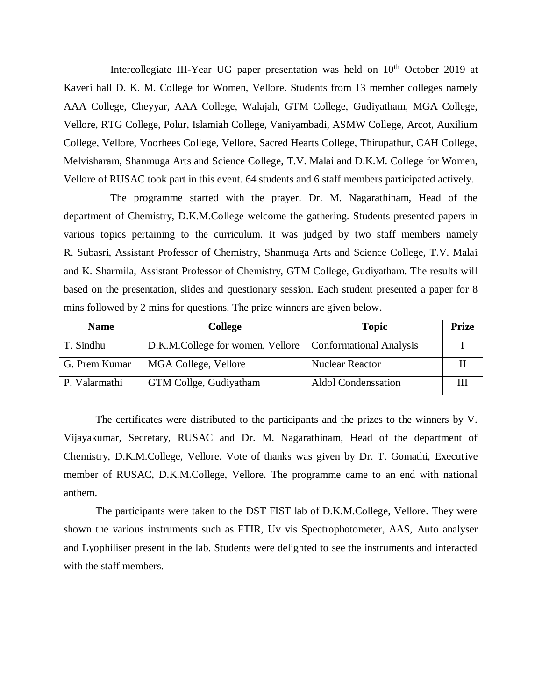Intercollegiate III-Year UG paper presentation was held on  $10<sup>th</sup>$  October 2019 at Kaveri hall D. K. M. College for Women, Vellore. Students from 13 member colleges namely AAA College, Cheyyar, AAA College, Walajah, GTM College, Gudiyatham, MGA College, Vellore, RTG College, Polur, Islamiah College, Vaniyambadi, ASMW College, Arcot, Auxilium College, Vellore, Voorhees College, Vellore, Sacred Hearts College, Thirupathur, CAH College, Melvisharam, Shanmuga Arts and Science College, T.V. Malai and D.K.M. College for Women, Vellore of RUSAC took part in this event. 64 students and 6 staff members participated actively.

The programme started with the prayer. Dr. M. Nagarathinam, Head of the department of Chemistry, D.K.M.College welcome the gathering. Students presented papers in various topics pertaining to the curriculum. It was judged by two staff members namely R. Subasri, Assistant Professor of Chemistry, Shanmuga Arts and Science College, T.V. Malai and K. Sharmila, Assistant Professor of Chemistry, GTM College, Gudiyatham. The results will based on the presentation, slides and questionary session. Each student presented a paper for 8 mins followed by 2 mins for questions. The prize winners are given below.

| <b>Name</b>   | <b>College</b>                                             | <b>Topic</b>               | <b>Prize</b> |
|---------------|------------------------------------------------------------|----------------------------|--------------|
| T. Sindhu     | D.K.M.College for women, Vellore   Conformational Analysis |                            |              |
| G. Prem Kumar | MGA College, Vellore                                       | <b>Nuclear Reactor</b>     |              |
| P. Valarmathi | GTM Collge, Gudiyatham                                     | <b>Aldol Condenssation</b> |              |

The certificates were distributed to the participants and the prizes to the winners by V. Vijayakumar, Secretary, RUSAC and Dr. M. Nagarathinam, Head of the department of Chemistry, D.K.M.College, Vellore. Vote of thanks was given by Dr. T. Gomathi, Executive member of RUSAC, D.K.M.College, Vellore. The programme came to an end with national anthem.

The participants were taken to the DST FIST lab of D.K.M.College, Vellore. They were shown the various instruments such as FTIR, Uv vis Spectrophotometer, AAS, Auto analyser and Lyophiliser present in the lab. Students were delighted to see the instruments and interacted with the staff members.